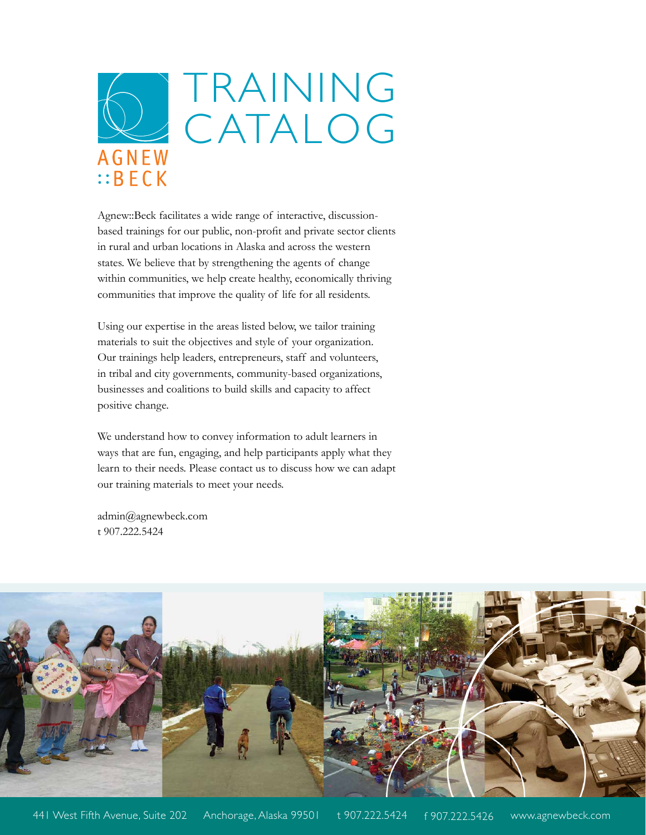

Agnew::Beck facilitates a wide range of interactive, discussionbased trainings for our public, non-profit and private sector clients in rural and urban locations in Alaska and across the western states. We believe that by strengthening the agents of change within communities, we help create healthy, economically thriving communities that improve the quality of life for all residents.

Using our expertise in the areas listed below, we tailor training materials to suit the objectives and style of your organization. Our trainings help leaders, entrepreneurs, staff and volunteers, in tribal and city governments, community-based organizations, businesses and coalitions to build skills and capacity to affect positive change.

We understand how to convey information to adult learners in ways that are fun, engaging, and help participants apply what they learn to their needs. Please contact us to discuss how we can adapt our training materials to meet your needs.

admin@agnewbeck.com t 907.222.5424

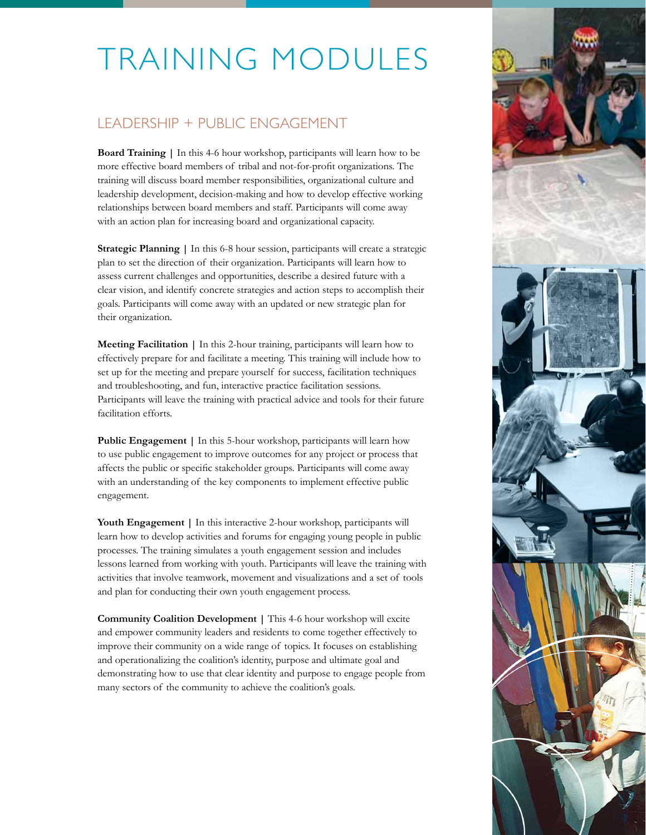### LEADERSHIP + PUBLIC ENGAGEMENT

**Board Training |** In this 4-6 hour workshop, participants will learn how to be more effective board members of tribal and not-for-profit organizations. The training will discuss board member responsibilities, organizational culture and leadership development, decision-making and how to develop effective working relationships between board members and staff. Participants will come away with an action plan for increasing board and organizational capacity.

**Strategic Planning |** In this 6-8 hour session, participants will create a strategic plan to set the direction of their organization. Participants will learn how to assess current challenges and opportunities, describe a desired future with a clear vision, and identify concrete strategies and action steps to accomplish their goals. Participants will come away with an updated or new strategic plan for their organization.

**Meeting Facilitation |** In this 2-hour training, participants will learn how to effectively prepare for and facilitate a meeting. This training will include how to set up for the meeting and prepare yourself for success, facilitation techniques and troubleshooting, and fun, interactive practice facilitation sessions. Participants will leave the training with practical advice and tools for their future facilitation efforts.

**Public Engagement |** In this 5-hour workshop, participants will learn how to use public engagement to improve outcomes for any project or process that affects the public or specific stakeholder groups. Participants will come away with an understanding of the key components to implement effective public engagement.

Youth Engagement | In this interactive 2-hour workshop, participants will learn how to develop activities and forums for engaging young people in public processes. The training simulates a youth engagement session and includes lessons learned from working with youth. Participants will leave the training with activities that involve teamwork, movement and visualizations and a set of tools and plan for conducting their own youth engagement process.

**Community Coalition Development** | This 4-6 hour workshop will excite and empower community leaders and residents to come together effectively to improve their community on a wide range of topics. It focuses on establishing and operationalizing the coalition's identity, purpose and ultimate goal and demonstrating how to use that clear identity and purpose to engage people from many sectors of the community to achieve the coalition's goals.

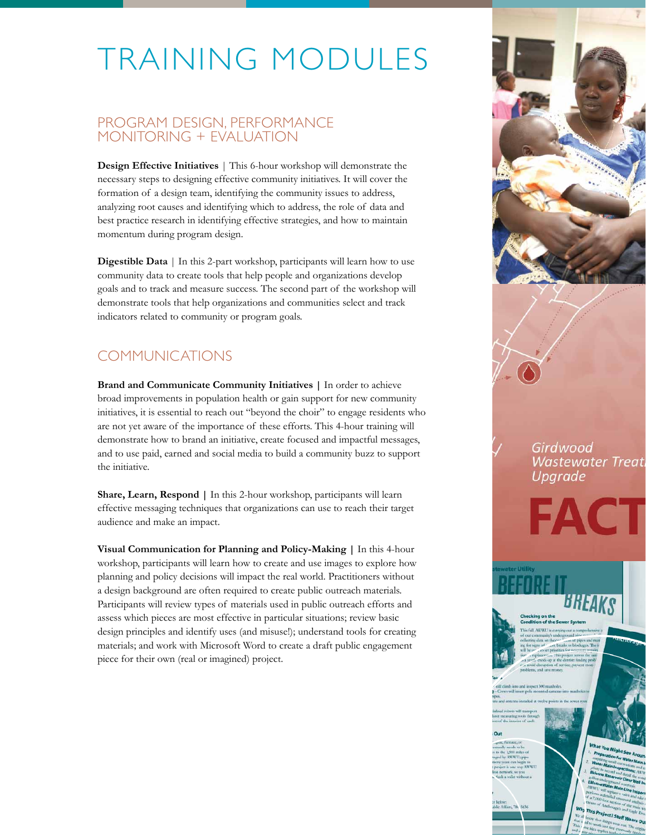#### PROGRAM DESIGN, PERFORMANCE MONITORING + EVALUATION

**Design Effective Initiatives** | This 6-hour workshop will demonstrate the necessary steps to designing effective community initiatives. It will cover the formation of a design team, identifying the community issues to address, analyzing root causes and identifying which to address, the role of data and best practice research in identifying effective strategies, and how to maintain momentum during program design.

**Digestible Data** | In this 2-part workshop, participants will learn how to use community data to create tools that help people and organizations develop goals and to track and measure success. The second part of the workshop will demonstrate tools that help organizations and communities select and track indicators related to community or program goals.

### COMMUNICATIONS

**Brand and Communicate Community Initiatives |** In order to achieve broad improvements in population health or gain support for new community initiatives, it is essential to reach out "beyond the choir" to engage residents who are not yet aware of the importance of these efforts. This 4-hour training will demonstrate how to brand an initiative, create focused and impactful messages, and to use paid, earned and social media to build a community buzz to support the initiative.

**Share, Learn, Respond |** In this 2-hour workshop, participants will learn effective messaging techniques that organizations can use to reach their target audience and make an impact.

**Visual Communication for Planning and Policy-Making |** In this 4-hour workshop, participants will learn how to create and use images to explore how planning and policy decisions will impact the real world. Practitioners without a design background are often required to create public outreach materials. Participants will review types of materials used in public outreach efforts and assess which pieces are most effective in particular situations; review basic design principles and identify uses (and misuse!); understand tools for creating materials; and work with Microsoft Word to create a draft public engagement piece for their own (real or imagined) project.



Girdwood **Wastewater Treat** Upgrade

FACT

This Project? Stuff W

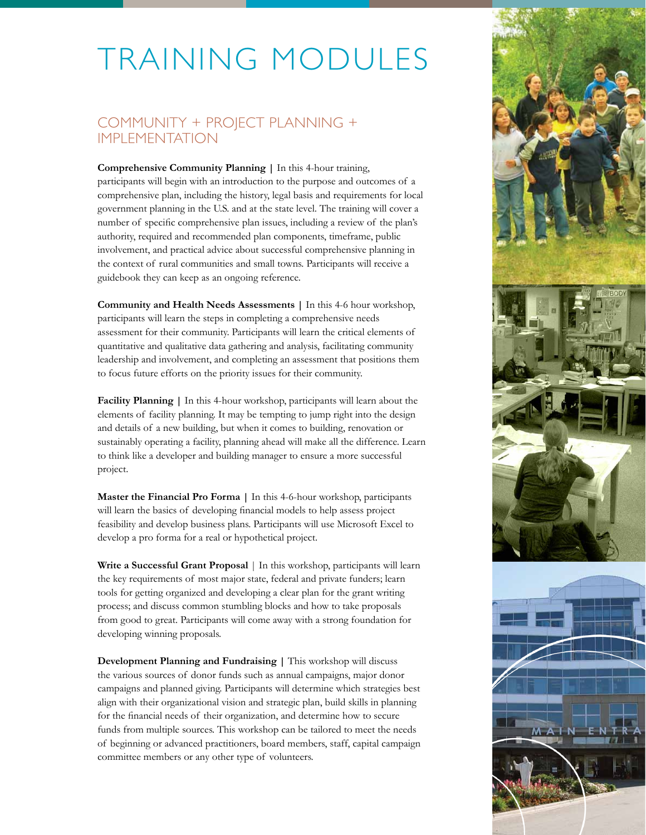### COMMUNITY + PROJECT PLANNING + IMPLEMENTATION

**Comprehensive Community Planning |** In this 4-hour training, participants will begin with an introduction to the purpose and outcomes of a comprehensive plan, including the history, legal basis and requirements for local government planning in the U.S. and at the state level. The training will cover a number of specific comprehensive plan issues, including a review of the plan's authority, required and recommended plan components, timeframe, public involvement, and practical advice about successful comprehensive planning in the context of rural communities and small towns. Participants will receive a guidebook they can keep as an ongoing reference.

**Community and Health Needs Assessments |** In this 4-6 hour workshop, participants will learn the steps in completing a comprehensive needs assessment for their community. Participants will learn the critical elements of quantitative and qualitative data gathering and analysis, facilitating community leadership and involvement, and completing an assessment that positions them to focus future efforts on the priority issues for their community.

**Facility Planning |** In this 4-hour workshop, participants will learn about the elements of facility planning. It may be tempting to jump right into the design and details of a new building, but when it comes to building, renovation or sustainably operating a facility, planning ahead will make all the difference. Learn to think like a developer and building manager to ensure a more successful project.

**Master the Financial Pro Forma |** In this 4-6-hour workshop, participants will learn the basics of developing financial models to help assess project feasibility and develop business plans. Participants will use Microsoft Excel to develop a pro forma for a real or hypothetical project.

Write a Successful Grant Proposal | In this workshop, participants will learn the key requirements of most major state, federal and private funders; learn tools for getting organized and developing a clear plan for the grant writing process; and discuss common stumbling blocks and how to take proposals from good to great. Participants will come away with a strong foundation for developing winning proposals.

**Development Planning and Fundraising | This workshop will discuss** the various sources of donor funds such as annual campaigns, major donor campaigns and planned giving. Participants will determine which strategies best align with their organizational vision and strategic plan, build skills in planning for the financial needs of their organization, and determine how to secure funds from multiple sources. This workshop can be tailored to meet the needs of beginning or advanced practitioners, board members, staff, capital campaign committee members or any other type of volunteers.